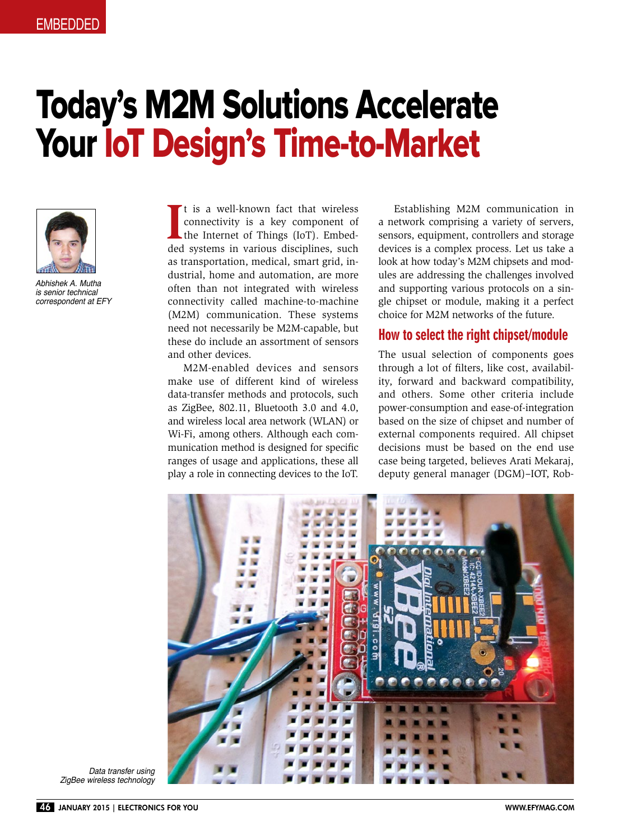# Today's M2M Solutions Accelerate Your IoT Design's Time-to-Market



Abhishek A. Mutha is senior technical correspondent at EFY

It is a well-known fact that wireless<br>connectivity is a key component of<br>the Internet of Things (IoT). Embed-<br>ded systems in various disciplines, such t is a well-known fact that wireless connectivity is a key component of the Internet of Things (IoT). Embedas transportation, medical, smart grid, industrial, home and automation, are more often than not integrated with wireless connectivity called machine-to-machine (M2M) communication. These systems need not necessarily be M2M-capable, but these do include an assortment of sensors and other devices.

M2M-enabled devices and sensors make use of different kind of wireless data-transfer methods and protocols, such as ZigBee, 802.11, Bluetooth 3.0 and 4.0, and wireless local area network (WLAN) or Wi-Fi, among others. Although each communication method is designed for specific ranges of usage and applications, these all play a role in connecting devices to the IoT.

Establishing M2M communication in a network comprising a variety of servers, sensors, equipment, controllers and storage devices is a complex process. Let us take a look at how today's M2M chipsets and modules are addressing the challenges involved and supporting various protocols on a single chipset or module, making it a perfect choice for M2M networks of the future.

#### How to select the right chipset/module

The usual selection of components goes through a lot of filters, like cost, availability, forward and backward compatibility, and others. Some other criteria include power-consumption and ease-of-integration based on the size of chipset and number of external components required. All chipset decisions must be based on the end use case being targeted, believes Arati Mekaraj, deputy general manager (DGM)–IOT, Rob-



Data transfer using ZigBee wireless technology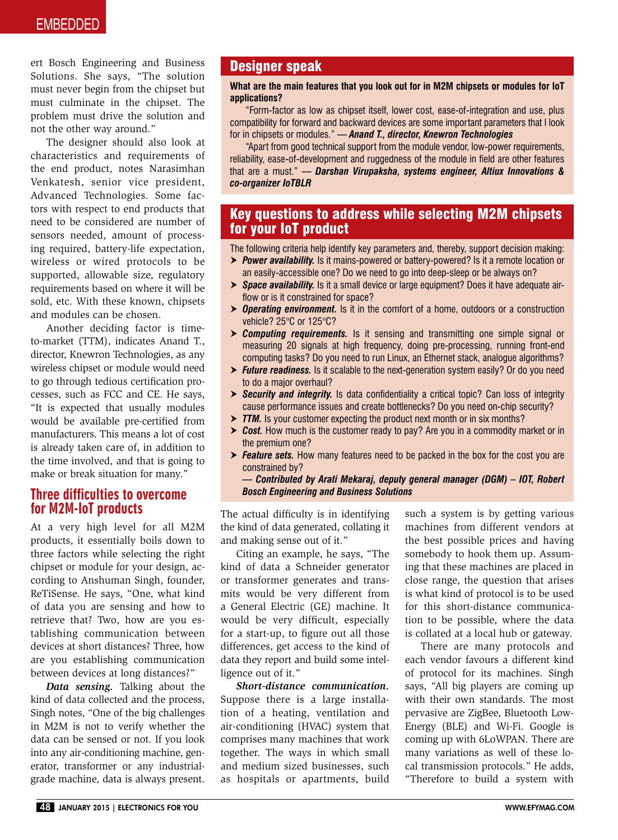ert Bosch Engineering and Business Solutions. She says, "The solution must never begin from the chipset but must culminate in the chipset. The problem must drive the solution and not the other way around."

The designer should also look at characteristics and requirements of the end product, notes Narasimhan Venkatesh, senior vice president, Advanced Technologies. Some factors with respect to end products that need to be considered are number of sensors needed, amount of processing required, battery-life expectation, wireless or wired protocols to be supported, allowable size, regulatory requirements based on where it will be sold, etc. With these known, chipsets and modules can be chosen.

Another deciding factor is timeto-market (TTM), indicates Anand T., director, Knewron Technologies, as any wireless chipset or module would need to go through tedious certification processes, such as FCC and CE. He says, "It is expected that usually modules would be available pre-certified from manufacturers. This means a lot of cost is already taken care of, in addition to the time involved, and that is going to make or break situation for many."

## Three difficulties to overcome for M2M-IoT products

At a very high level for all M2M products, it essentially boils down to three factors while selecting the right chipset or module for your design, according to Anshuman Singh, founder, ReTiSense. He says, "One, what kind of data you are sensing and how to retrieve that? Two, how are you establishing communication between devices at short distances? Three, how are you establishing communication between devices at long distances?"

*Data sensing.* Talking about the kind of data collected and the process, Singh notes, "One of the big challenges in M2M is not to verify whether the data can be sensed or not. If you look into any air-conditioning machine, generator, transformer or any industrialgrade machine, data is always present.

## Designer speak

#### **What are the main features that you look out for in M2M chipsets or modules for IoT applications?**

"Form-factor as low as chipset itself, lower cost, ease-of-integration and use, plus compatibility for forward and backward devices are some important parameters that I look for in chipsets or modules." *— Anand T., director, Knewron Technologies*

"Apart from good technical support from the module vendor, low-power requirements, reliability, ease-of-development and ruggedness of the module in field are other features that are a must." *— Darshan Virupaksha, systems engineer, Altiux Innovations & co-organizer IoTBLR* 

## Key questions to address while selecting M2M chipsets for your IoT product

The following criteria help identify key parameters and, thereby, support decision making:

- *Power availability.* Is it mains-powered or battery-powered? Is it a remote location or an easily-accessible one? Do we need to go into deep-sleep or be always on?
- *Space availability.* Is it a small device or large equipment? Does it have adequate airflow or is it constrained for space?
- *Operating environment.* Is it in the comfort of a home, outdoors or a construction vehicle? 25°C or 125°C?
- *Computing requirements.* Is it sensing and transmitting one simple signal or measuring 20 signals at high frequency, doing pre-processing, running front-end computing tasks? Do you need to run Linux, an Ethernet stack, analogue algorithms?
- *► Future readiness.* Is it scalable to the next-generation system easily? Or do you need to do a major overhaul?
- **> Security and integrity.** Is data confidentiality a critical topic? Can loss of integrity cause performance issues and create bottlenecks? Do you need on-chip security?
- *► TTM.* Is your customer expecting the product next month or in six months?
- **Example 3 > Cost.** How much is the customer ready to pay? Are you in a commodity market or in the premium one?
- *Feature sets.* How many features need to be packed in the box for the cost you are constrained by?

#### *— Contributed by Arati Mekaraj, deputy general manager (DGM) – IOT, Robert Bosch Engineering and Business Solutions*

The actual difficulty is in identifying the kind of data generated, collating it and making sense out of it."

Citing an example, he says, "The kind of data a Schneider generator or transformer generates and transmits would be very different from a General Electric (GE) machine. It would be very difficult, especially for a start-up, to figure out all those differences, get access to the kind of data they report and build some intelligence out of it."

*Short-distance communication.* Suppose there is a large installation of a heating, ventilation and air-conditioning (HVAC) system that comprises many machines that work together. The ways in which small and medium sized businesses, such as hospitals or apartments, build such a system is by getting various machines from different vendors at the best possible prices and having somebody to hook them up. Assuming that these machines are placed in close range, the question that arises is what kind of protocol is to be used for this short-distance communication to be possible, where the data is collated at a local hub or gateway.

There are many protocols and each vendor favours a different kind of protocol for its machines. Singh says, "All big players are coming up with their own standards. The most pervasive are ZigBee, Bluetooth Low-Energy (BLE) and Wi-Fi. Google is coming up with 6LoWPAN. There are many variations as well of these local transmission protocols." He adds, "Therefore to build a system with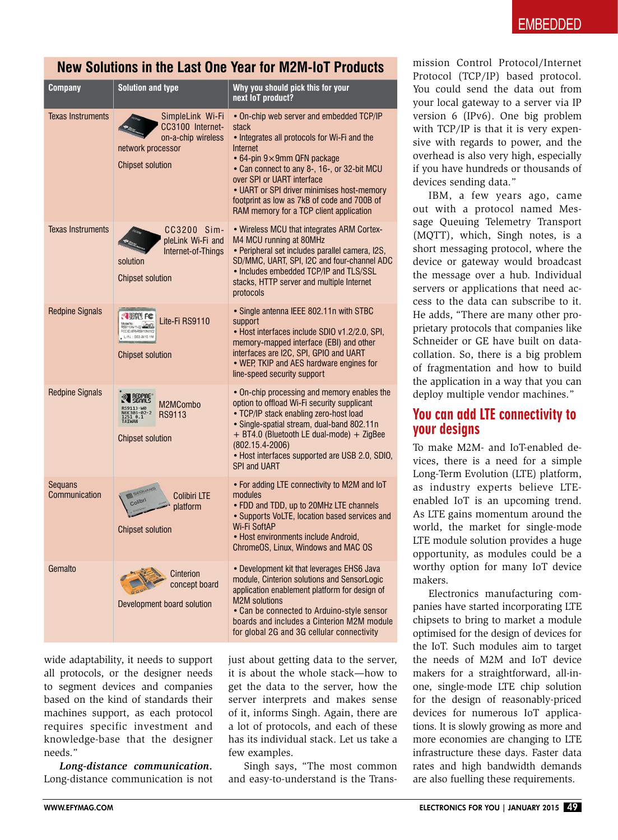# **New Solutions in the Last One Year for M2M-IoT Products**

| Company                  | <b>Solution and type</b>                                                                                   | Why you should pick this for your<br>next loT product?                                                                                                                                                                                                                                                                                                                          |
|--------------------------|------------------------------------------------------------------------------------------------------------|---------------------------------------------------------------------------------------------------------------------------------------------------------------------------------------------------------------------------------------------------------------------------------------------------------------------------------------------------------------------------------|
| <b>Texas Instruments</b> | SimpleLink Wi-Fi<br>CC3100 Internet-<br>on-a-chip wireless<br>network processor<br><b>Chipset solution</b> | • On-chip web server and embedded TCP/IP<br>stack<br>• Integrates all protocols for Wi-Fi and the<br>Internet<br>$\cdot$ 64-pin 9 $\times$ 9mm QFN package<br>• Can connect to any 8-, 16-, or 32-bit MCU<br>over SPI or UART interface<br>• UART or SPI driver minimises host-memory<br>footprint as low as 7kB of code and 700B of<br>RAM memory for a TCP client application |
| <b>Texas Instruments</b> | CC3200 Sim-<br>pleLink Wi-Fi and<br>Internet-of-Things<br>solution<br><b>Chipset solution</b>              | • Wireless MCU that integrates ARM Cortex-<br>M4 MCU running at 80MHz<br>• Peripheral set includes parallel camera, I2S,<br>SD/MMC, UART, SPI, I2C and four-channel ADC<br>• Includes embedded TCP/IP and TLS/SSL<br>stacks, HTTP server and multiple Internet<br>protocols                                                                                                     |
| <b>Redpine Signals</b>   | Lite-Fi RS9110<br>L/N.: 003-3610-1M<br><b>Chipset solution</b>                                             | • Single antenna IEEE 802.11n with STBC<br>support<br>• Host interfaces include SDIO v1.2/2.0, SPI,<br>memory-mapped interface (EBI) and other<br>interfaces are I2C, SPI, GPIO and UART<br>. WEP, TKIP and AES hardware engines for<br>line-speed security support                                                                                                             |
| <b>Redpine Signals</b>   | M2MCombo<br>RS9113<br><b>Chipset solution</b>                                                              | • On-chip processing and memory enables the<br>option to offload Wi-Fi security supplicant<br>• TCP/IP stack enabling zero-host load<br>• Single-spatial stream, dual-band 802.11n<br>+ BT4.0 (Bluetooth LE dual-mode) + ZigBee<br>$(802.15.4 - 2006)$<br>• Host interfaces supported are USB 2.0, SDIO,<br><b>SPI and UART</b>                                                 |
| Seguans<br>Communication | <b>Colibiri LTE</b><br>platform<br><b>Chipset solution</b>                                                 | • For adding LTE connectivity to M2M and IoT<br>modules<br>• FDD and TDD, up to 20MHz LTE channels<br>• Supports VoLTE, location based services and<br><b>Wi-Fi SoftAP</b><br>· Host environments include Android,<br>ChromeOS, Linux, Windows and MAC OS                                                                                                                       |
| Gemalto                  | Cinterion<br>concept board<br>Development board solution                                                   | • Development kit that leverages EHS6 Java<br>module, Cinterion solutions and SensorLogic<br>application enablement platform for design of<br><b>M2M</b> solutions<br>• Can be connected to Arduino-style sensor<br>boards and includes a Cinterion M2M module<br>for global 2G and 3G cellular connectivity                                                                    |

wide adaptability, it needs to support all protocols, or the designer needs to segment devices and companies based on the kind of standards their machines support, as each protocol requires specific investment and knowledge-base that the designer needs."

*Long-distance communication.* Long-distance communication is not

just about getting data to the server, it is about the whole stack—how to get the data to the server, how the server interprets and makes sense of it, informs Singh. Again, there are a lot of protocols, and each of these has its individual stack. Let us take a few examples.

Singh says, "The most common and easy-to-understand is the Transmission Control Protocol/Internet Protocol (TCP/IP) based protocol. You could send the data out from your local gateway to a server via IP version 6 (IPv6). One big problem with TCP/IP is that it is very expensive with regards to power, and the overhead is also very high, especially if you have hundreds or thousands of devices sending data."

IBM, a few years ago, came out with a protocol named Message Queuing Telemetry Transport (MQTT), which, Singh notes, is a short messaging protocol, where the device or gateway would broadcast the message over a hub. Individual servers or applications that need access to the data can subscribe to it. He adds, "There are many other proprietary protocols that companies like Schneider or GE have built on datacollation. So, there is a big problem of fragmentation and how to build the application in a way that you can deploy multiple vendor machines."

## You can add LTE connectivity to your designs

To make M2M- and IoT-enabled devices, there is a need for a simple Long-Term Evolution (LTE) platform, as industry experts believe LTEenabled IoT is an upcoming trend. As LTE gains momentum around the world, the market for single-mode LTE module solution provides a huge opportunity, as modules could be a worthy option for many IoT device makers.

Electronics manufacturing companies have started incorporating LTE chipsets to bring to market a module optimised for the design of devices for the IoT. Such modules aim to target the needs of M2M and IoT device makers for a straightforward, all-inone, single-mode LTE chip solution for the design of reasonably-priced devices for numerous IoT applications. It is slowly growing as more and more economies are changing to LTE infrastructure these days. Faster data rates and high bandwidth demands are also fuelling these requirements.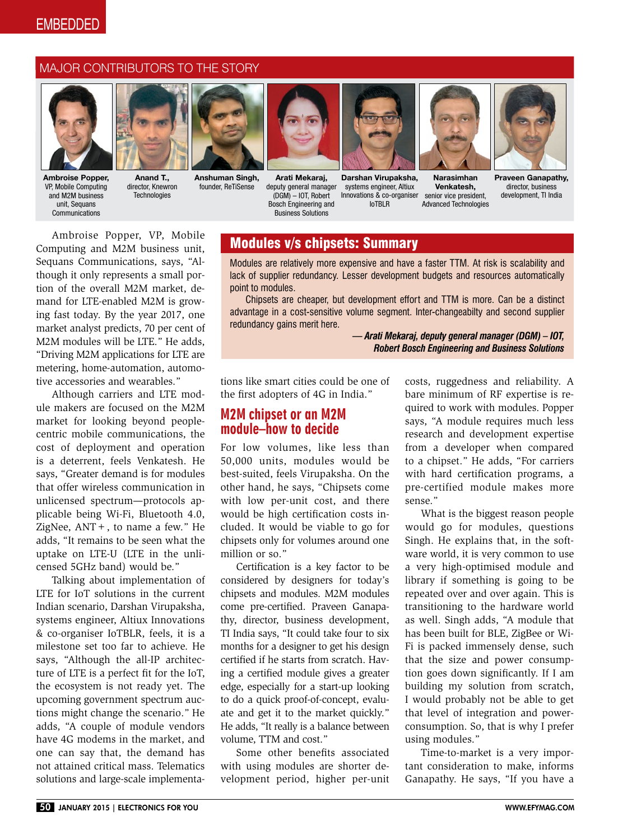# **EMBEDDED**

#### MAJOR CONTRIBUTORS TO THE STORY



Ambroise Popper, VP, Mobile Computing and M2M business unit, Sequans **Communications** 



Anand T., director, Knewron **Technologies** 



Anshuman Singh, founder, ReTiSense



Arati Mekaraj, deputy general manager (DGM) – IOT, Robert Bosch Engineering and Business Solutions



senior vice president, Advanced Technologies Darshan Virupaksha, systems engineer, Altiux Innovations & co-organiser IoTBLR



Venkatesh,

Praveen Ganapathy, director, business development, TI India

Ambroise Popper, VP, Mobile Computing and M2M business unit, Sequans Communications, says, "Although it only represents a small portion of the overall M2M market, demand for LTE-enabled M2M is growing fast today. By the year 2017, one market analyst predicts, 70 per cent of M2M modules will be LTE." He adds, "Driving M2M applications for LTE are metering, home-automation, automotive accessories and wearables."

Although carriers and LTE module makers are focused on the M2M market for looking beyond peoplecentric mobile communications, the cost of deployment and operation is a deterrent, feels Venkatesh. He says, "Greater demand is for modules that offer wireless communication in unlicensed spectrum—protocols applicable being Wi-Fi, Bluetooth 4.0, ZigNee,  $ANT +$ , to name a few." He adds, "It remains to be seen what the uptake on LTE-U (LTE in the unlicensed 5GHz band) would be."

Talking about implementation of LTE for IoT solutions in the current Indian scenario, Darshan Virupaksha, systems engineer, Altiux Innovations & co-organiser IoTBLR, feels, it is a milestone set too far to achieve. He says, "Although the all-IP architecture of LTE is a perfect fit for the IoT, the ecosystem is not ready yet. The upcoming government spectrum auctions might change the scenario." He adds, "A couple of module vendors have 4G modems in the market, and one can say that, the demand has not attained critical mass. Telematics solutions and large-scale implementa-

## Modules v/s chipsets: Summary

Modules are relatively more expensive and have a faster TTM. At risk is scalability and lack of supplier redundancy. Lesser development budgets and resources automatically point to modules.

Chipsets are cheaper, but development effort and TTM is more. Can be a distinct advantage in a cost-sensitive volume segment. Inter-changeabilty and second supplier redundancy gains merit here.

> *— Arati Mekaraj, deputy general manager (DGM) – IOT, Robert Bosch Engineering and Business Solutions*

tions like smart cities could be one of the first adopters of 4G in India."

## M2M chipset or an M2M module–how to decide

For low volumes, like less than 50,000 units, modules would be best-suited, feels Virupaksha. On the other hand, he says, "Chipsets come with low per-unit cost, and there would be high certification costs included. It would be viable to go for chipsets only for volumes around one million or so."

Certification is a key factor to be considered by designers for today's chipsets and modules. M2M modules come pre-certified. Praveen Ganapathy, director, business development, TI India says, "It could take four to six months for a designer to get his design certified if he starts from scratch. Having a certified module gives a greater edge, especially for a start-up looking to do a quick proof-of-concept, evaluate and get it to the market quickly." He adds, "It really is a balance between volume, TTM and cost."

Some other benefits associated with using modules are shorter development period, higher per-unit costs, ruggedness and reliability. A bare minimum of RF expertise is required to work with modules. Popper says, "A module requires much less research and development expertise from a developer when compared to a chipset." He adds, "For carriers with hard certification programs, a pre-certified module makes more sense."

What is the biggest reason people would go for modules, questions Singh. He explains that, in the software world, it is very common to use a very high-optimised module and library if something is going to be repeated over and over again. This is transitioning to the hardware world as well. Singh adds, "A module that has been built for BLE, ZigBee or Wi-Fi is packed immensely dense, such that the size and power consumption goes down significantly. If I am building my solution from scratch, I would probably not be able to get that level of integration and powerconsumption. So, that is why I prefer using modules."

Time-to-market is a very important consideration to make, informs Ganapathy. He says, "If you have a